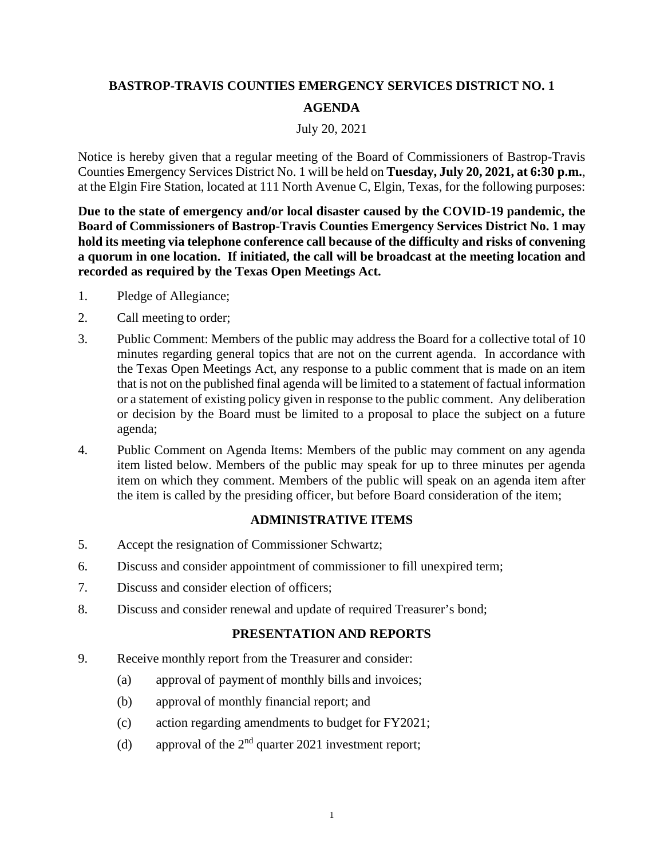# **BASTROP-TRAVIS COUNTIES EMERGENCY SERVICES DISTRICT NO. 1 AGENDA**

## July 20, 2021

Notice is hereby given that a regular meeting of the Board of Commissioners of Bastrop-Travis Counties Emergency Services District No. 1 will be held on **Tuesday, July 20, 2021, at 6:30 p.m.**, at the Elgin Fire Station, located at 111 North Avenue C, Elgin, Texas, for the following purposes:

**Due to the state of emergency and/or local disaster caused by the COVID-19 pandemic, the Board of Commissioners of Bastrop-Travis Counties Emergency Services District No. 1 may hold its meeting via telephone conference call because of the difficulty and risks of convening a quorum in one location. If initiated, the call will be broadcast at the meeting location and recorded as required by the Texas Open Meetings Act.**

- 1. Pledge of Allegiance;
- 2. Call meeting to order;
- 3. Public Comment: Members of the public may address the Board for a collective total of 10 minutes regarding general topics that are not on the current agenda. In accordance with the Texas Open Meetings Act, any response to a public comment that is made on an item that is not on the published final agenda will be limited to a statement of factual information or a statement of existing policy given in response to the public comment. Any deliberation or decision by the Board must be limited to a proposal to place the subject on a future agenda;
- 4. Public Comment on Agenda Items: Members of the public may comment on any agenda item listed below. Members of the public may speak for up to three minutes per agenda item on which they comment. Members of the public will speak on an agenda item after the item is called by the presiding officer, but before Board consideration of the item;

## **ADMINISTRATIVE ITEMS**

- 5. Accept the resignation of Commissioner Schwartz;
- 6. Discuss and consider appointment of commissioner to fill unexpired term;
- 7. Discuss and consider election of officers;
- 8. Discuss and consider renewal and update of required Treasurer's bond;

### **PRESENTATION AND REPORTS**

- 9. Receive monthly report from the Treasurer and consider:
	- (a) approval of payment of monthly bills and invoices;
	- (b) approval of monthly financial report; and
	- (c) action regarding amendments to budget for FY2021;
	- (d) approval of the  $2<sup>nd</sup>$  quarter 2021 investment report;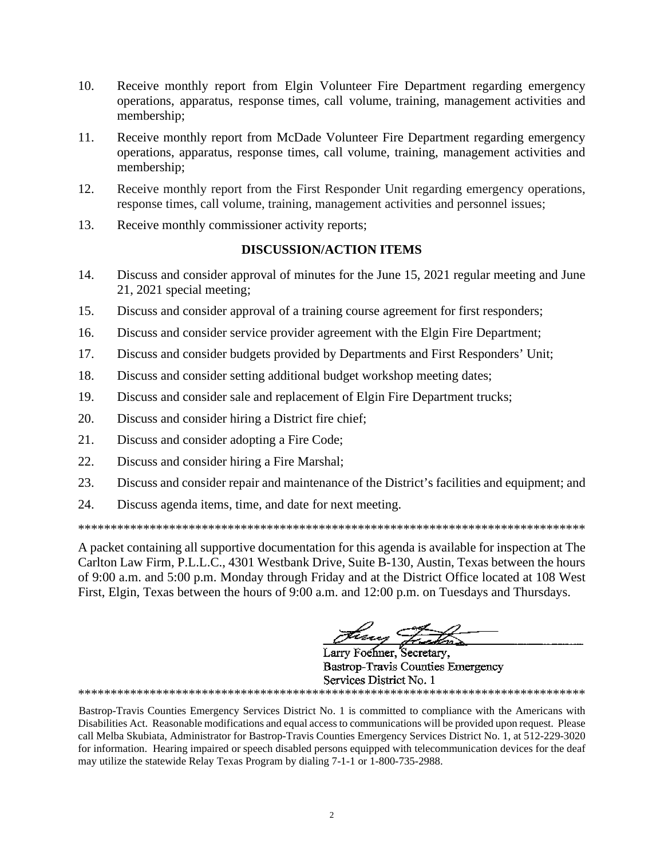- 10. Receive monthly report from Elgin Volunteer Fire Department regarding emergency operations, apparatus, response times, call volume, training, management activities and membership;
- 11. Receive monthly report from McDade Volunteer Fire Department regarding emergency operations, apparatus, response times, call volume, training, management activities and membership;
- 12. Receive monthly report from the First Responder Unit regarding emergency operations, response times, call volume, training, management activities and personnel issues;
- 13. Receive monthly commissioner activity reports;

### **DISCUSSION/ACTION ITEMS**

- 14. Discuss and consider approval of minutes for the June 15, 2021 regular meeting and June 21, 2021 special meeting;
- 15. Discuss and consider approval of a training course agreement for first responders;
- 16. Discuss and consider service provider agreement with the Elgin Fire Department;
- 17. Discuss and consider budgets provided by Departments and First Responders' Unit;
- 18. Discuss and consider setting additional budget workshop meeting dates;
- 19. Discuss and consider sale and replacement of Elgin Fire Department trucks;
- 20. Discuss and consider hiring a District fire chief;
- 21. Discuss and consider adopting a Fire Code;
- 22. Discuss and consider hiring a Fire Marshal;
- 23. Discuss and consider repair and maintenance of the District's facilities and equipment; and
- 24. Discuss agenda items, time, and date for next meeting.

\*\*\*\*\*\*\*\*\*\*\*\*\*\*\*\*\*\*\*\*\*\*\*\*\*\*\*\*\*\*\*\*\*\*\*\*\*\*\*\*\*\*\*\*\*\*\*\*\*\*\*\*\*\*\*\*\*\*\*\*\*\*\*\*\*\*\*\*\*\*\*\*\*\*\*\*\*\*

A packet containing all supportive documentation for this agenda is available for inspection at The Carlton Law Firm, P.L.L.C., 4301 Westbank Drive, Suite B-130, Austin, Texas between the hours of 9:00 a.m. and 5:00 p.m. Monday through Friday and at the District Office located at 108 West First, Elgin, Texas between the hours of 9:00 a.m. and 12:00 p.m. on Tuesdays and Thursdays.

treng =

Larry Foehner, Secretary, **Bastrop-Travis Counties Emergency** Services District No. 1 \*\*\*\*\*\*\*\*\*\*\*\*\*\*\*\*\*\*\*\*\*\*\*\*\*\*\*\*\*\*\*\*\*\*\*\*\*\*\*\*\*\*\*\*\*\*\*\*\*\*\*\*\*\*\*\*\*\*\*\*\*\*\*\*\*\*\*\*\*\*\*\*\*\*\*\*\*\*

Bastrop-Travis Counties Emergency Services District No. 1 is committed to compliance with the Americans with Disabilities Act. Reasonable modifications and equal access to communications will be provided upon request. Please call Melba Skubiata, Administrator for Bastrop-Travis Counties Emergency Services District No. 1, at 512-229-3020 for information. Hearing impaired or speech disabled persons equipped with telecommunication devices for the deaf may utilize the statewide Relay Texas Program by dialing 7-1-1 or 1-800-735-2988.